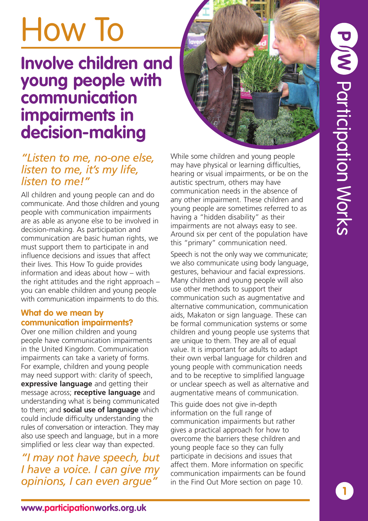# M Participation Works

# How To

### **Involve children and young people with communication impairments in decision-making**

### *"Listen to me, no-one else, listen to me, it's my life, listen to me!"*

All children and young people can and do communicate. And those children and young people with communication impairments are as able as anyone else to be involved in decision-making. As participation and communication are basic human rights, we must support them to participate in and influence decisions and issues that affect their lives. This How To guide provides information and ideas about how – with the right attitudes and the right approach – you can enable children and young people with communication impairments to do this.

#### **What do we mean by communication impairments?**

Over one million children and young people have communication impairments in the United Kingdom. Communication impairments can take a variety of forms. For example, children and young people may need support with: clarity of speech, **expressive language** and getting their message across; **receptive language** and understanding what is being communicated to them; and **social use of language** which could include difficulty understanding the rules of conversation or interaction. They may also use speech and language, but in a more simplified or less clear way than expected.

*"I may not have speech, but I have a voice. I can give my opinions, I can even argue"*

While some children and young people may have physical or learning difficulties, hearing or visual impairments, or be on the autistic spectrum, others may have communication needs in the absence of any other impairment. These children and young people are sometimes referred to as having a "hidden disability" as their impairments are not always easy to see. Around six per cent of the population have this "primary" communication need.

Speech is not the only way we communicate; we also communicate using body language, gestures, behaviour and facial expressions. Many children and young people will also use other methods to support their communication such as augmentative and alternative communication, communication aids, Makaton or sign language. These can be formal communication systems or some children and young people use systems that are unique to them. They are all of equal value. It is important for adults to adapt their own verbal language for children and young people with communication needs and to be receptive to simplified language or unclear speech as well as alternative and augmentative means of communication.

This guide does not give in-depth information on the full range of communication impairments but rather gives a practical approach for how to overcome the barriers these children and young people face so they can fully participate in decisions and issues that affect them. More information on specific communication impairments can be found in the Find Out More section on page 10.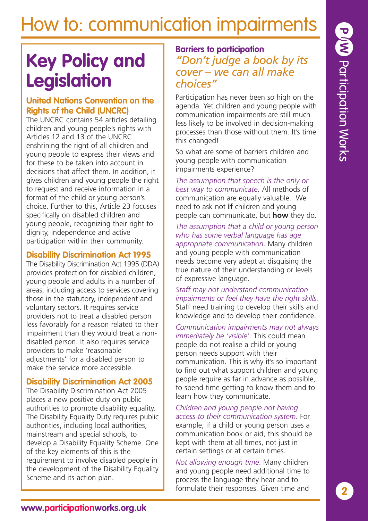### **Key Policy and Legislation**

#### **United Nations Convention on the Rights of the Child (UNCRC)**

The UNCRC contains 54 articles detailing children and young people's rights with Articles 12 and 13 of the UNCRC enshrining the right of all children and young people to express their views and for these to be taken into account in decisions that affect them. In addition, it gives children and young people the right to request and receive information in a format of the child or young person's choice. Further to this, Article 23 focuses specifically on disabled children and young people, recognizing their right to dignity, independence and active participation within their community.

#### **Disability Discrimination Act 1995**

The Disability Discrimination Act 1995 (DDA) provides protection for disabled children, young people and adults in a number of areas, including access to services covering those in the statutory, independent and voluntary sectors. It requires service providers not to treat a disabled person less favorably for a reason related to their impairment than they would treat a nondisabled person. It also requires service providers to make 'reasonable adjustments' for a disabled person to make the service more accessible.

#### **Disability Discrimination Act 2005**

The Disability Discrimination Act 2005 places a new positive duty on public authorities to promote disability equality. The Disability Equality Duty requires public authorities, including local authorities, mainstream and special schools, to develop a Disability Equality Scheme. One of the key elements of this is the requirement to involve disabled people in the development of the Disability Equality Scheme and its action plan.

### **Barriers to participation** *"Don't judge a book by its cover – we can all make choices"*

Participation has never been so high on the agenda. Yet children and young people with communication impairments are still much less likely to be involved in decision-making processes than those without them. It's time this changed!

So what are some of barriers children and young people with communication impairments experience?

*The assumption that speech is the only or best way to communicate*. All methods of communication are equally valuable. We need to ask not **if** children and young people can communicate, but **how** they do.

*The assumption that a child or young person who has some verbal language has age appropriate communication*. Many children and young people with communication needs become very adept at disguising the true nature of their understanding or levels of expressive language.

*Staff may not understand communication impairments or feel they have the right skills.* Staff need training to develop their skills and knowledge and to develop their confidence.

*Communication impairments may not always immediately be 'visible'*. This could mean people do not realise a child or young person needs support with their communication. This is why it's so important to find out what support children and young people require as far in advance as possible, to spend time getting to know them and to learn how they communicate.

*Children and young people not having access to their communication system.* For example, if a child or young person uses a communication book or aid, this should be kept with them at all times, not just in certain settings or at certain times.

*Not allowing enough time*. Many children and young people need additional time to process the language they hear and to formulate their responses. Given time and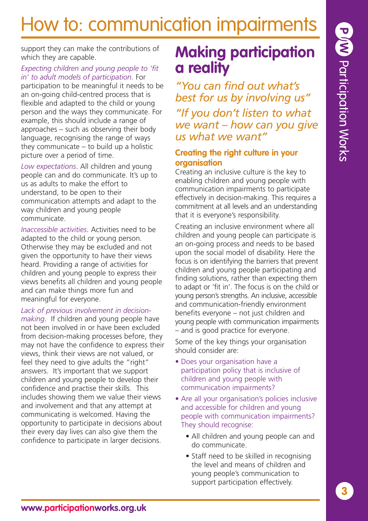support they can make the contributions of which they are capable.

#### *Expecting children and young people to 'fit in' to adult models of participation.* For

participation to be meaningful it needs to be an on-going child-centred process that is flexible and adapted to the child or young person and the ways they communicate. For example, this should include a range of approaches – such as observing their body language, recognising the range of ways they communicate – to build up a holistic picture over a period of time.

*Low expectations*. All children and young people can and do communicate. It's up to us as adults to make the effort to understand, to be open to their communication attempts and adapt to the way children and young people communicate.

*Inaccessible activities*. Activities need to be adapted to the child or young person. Otherwise they may be excluded and not given the opportunity to have their views heard. Providing a range of activities for children and young people to express their views benefits all children and young people and can make things more fun and meaningful for everyone.

*Lack of previous involvement in decisionmaking*. If children and young people have not been involved in or have been excluded from decision-making processes before, they may not have the confidence to express their views, think their views are not valued, or feel they need to give adults the "right" answers. It's important that we support children and young people to develop their confidence and practise their skills. This includes showing them we value their views and involvement and that any attempt at communicating is welcomed. Having the opportunity to participate in decisions about their every day lives can also give them the confidence to participate in larger decisions.

### **Making participation a reality**

*"You can find out what's best for us by involving us" "If you don't listen to what we want – how can you give us what we want"*

#### **Creating the right culture in your organisation**

Creating an inclusive culture is the key to enabling children and young people with communication impairments to participate effectively in decision-making. This requires a commitment at all levels and an understanding that it is everyone's responsibility.

Creating an inclusive environment where all children and young people can participate is an on-going process and needs to be based upon the social model of disability. Here the focus is on identifying the barriers that prevent children and young people participating and finding solutions, rather than expecting them to adapt or 'fit in'. The focus is on the child or young person's strengths. An inclusive, accessible and communication-friendly environment benefits everyone – not just children and young people with communication impairments – and is good practice for everyone.

Some of the key things your organisation should consider are:

- Does your organisation have a participation policy that is inclusive of children and young people with communication impairments?
- Are all your organisation's policies inclusive and accessible for children and young people with communication impairments? They should recognise:
	- All children and young people can and do communicate.
	- Staff need to be skilled in recognising the level and means of children and young people's communication to support participation effectively.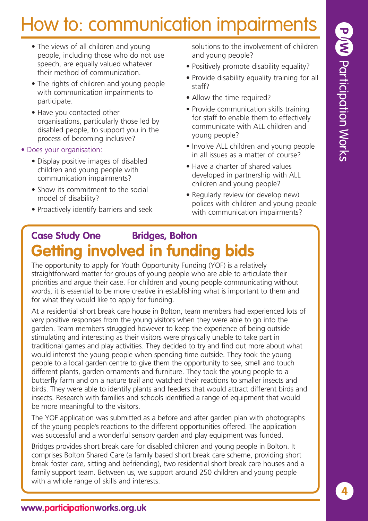- The views of all children and young people, including those who do not use speech, are equally valued whatever their method of communication.
- The rights of children and young people with communication impairments to participate.
- Have you contacted other organisations, particularly those led by disabled people, to support you in the process of becoming inclusive?
- Does your organisation:
	- Display positive images of disabled children and young people with communication impairments?
	- Show its commitment to the social model of disability?
	- Proactively identify barriers and seek

solutions to the involvement of children and young people?

- Positively promote disability equality?
- Provide disability equality training for all staff?
- Allow the time required?
- Provide communication skills training for staff to enable them to effectively communicate with ALL children and young people?
- Involve ALL children and young people in all issues as a matter of course?
- Have a charter of shared values developed in partnership with ALL children and young people?
- Regularly review (or develop new) polices with children and young people with communication impairments?

### **Case Study One Bridges, Bolton Getting involved in funding bids**

The opportunity to apply for Youth Opportunity Funding (YOF) is a relatively straightforward matter for groups of young people who are able to articulate their priorities and argue their case. For children and young people communicating without words, it is essential to be more creative in establishing what is important to them and for what they would like to apply for funding.

At a residential short break care house in Bolton, team members had experienced lots of very positive responses from the young visitors when they were able to go into the garden. Team members struggled however to keep the experience of being outside stimulating and interesting as their visitors were physically unable to take part in traditional games and play activities. They decided to try and find out more about what would interest the young people when spending time outside. They took the young people to a local garden centre to give them the opportunity to see, smell and touch different plants, garden ornaments and furniture. They took the young people to a butterfly farm and on a nature trail and watched their reactions to smaller insects and birds. They were able to identify plants and feeders that would attract different birds and insects. Research with families and schools identified a range of equipment that would be more meaningful to the visitors.

The YOF application was submitted as a before and after garden plan with photographs of the young people's reactions to the different opportunities offered. The application was successful and a wonderful sensory garden and play equipment was funded.

Bridges provides short break care for disabled children and young people in Bolton. It comprises Bolton Shared Care (a family based short break care scheme, providing short break foster care, sitting and befriending), two residential short break care houses and a family support team. Between us, we support around 250 children and young people with a whole range of skills and interests.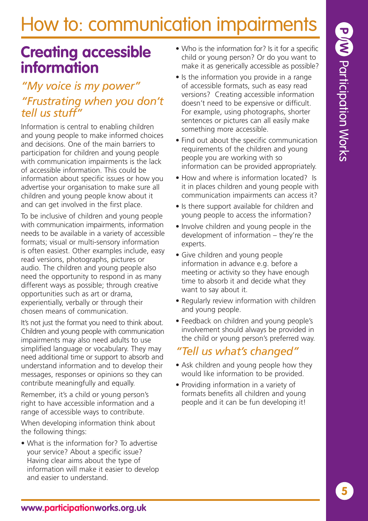### **Creating accessible information**

### *"My voice is my power"*

### *"Frustrating when you don't tell us stuff"*

Information is central to enabling children and young people to make informed choices and decisions. One of the main barriers to participation for children and young people with communication impairments is the lack of accessible information. This could be information about specific issues or how you advertise your organisation to make sure all children and young people know about it and can get involved in the first place.

To be inclusive of children and young people with communication impairments, information needs to be available in a variety of accessible formats; visual or multi-sensory information is often easiest. Other examples include, easy read versions, photographs, pictures or audio. The children and young people also need the opportunity to respond in as many different ways as possible; through creative opportunities such as art or drama, experientially, verbally or through their chosen means of communication.

It's not just the format you need to think about. Children and young people with communication impairments may also need adults to use simplified language or vocabulary. They may need additional time or support to absorb and understand information and to develop their messages, responses or opinions so they can contribute meaningfully and equally.

Remember, it's a child or young person's right to have accessible information and a range of accessible ways to contribute.

When developing information think about the following things:

• What is the information for? To advertise your service? About a specific issue? Having clear aims about the type of information will make it easier to develop and easier to understand.

- Who is the information for? Is it for a specific child or young person? Or do you want to make it as generically accessible as possible?
- Is the information you provide in a range of accessible formats, such as easy read versions? Creating accessible information doesn't need to be expensive or difficult. For example, using photographs, shorter sentences or pictures can all easily make something more accessible.
- Find out about the specific communication requirements of the children and young people you are working with so information can be provided appropriately.
- How and where is information located? Is it in places children and young people with communication impairments can access it?
- Is there support available for children and young people to access the information?
- Involve children and young people in the development of information – they're the experts.
- Give children and young people information in advance e.g. before a meeting or activity so they have enough time to absorb it and decide what they want to say about it.
- Regularly review information with children and young people.
- Feedback on children and young people's involvement should always be provided in the child or young person's preferred way.

### *"Tell us what's changed"*

- Ask children and young people how they would like information to be provided.
- Providing information in a variety of formats benefits all children and young people and it can be fun developing it!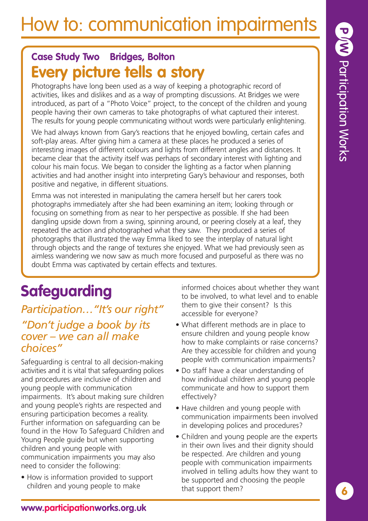### **Case Study Two Bridges, Bolton Every picture tells a story**

Photographs have long been used as a way of keeping a photographic record of activities, likes and dislikes and as a way of prompting discussions. At Bridges we were introduced, as part of a "Photo Voice" project, to the concept of the children and young people having their own cameras to take photographs of what captured their interest. The results for young people communicating without words were particularly enlightening.

We had always known from Gary's reactions that he enjoyed bowling, certain cafes and soft-play areas. After giving him a camera at these places he produced a series of interesting images of different colours and lights from different angles and distances. It became clear that the activity itself was perhaps of secondary interest with lighting and colour his main focus. We began to consider the lighting as a factor when planning activities and had another insight into interpreting Gary's behaviour and responses, both positive and negative, in different situations.

Emma was not interested in manipulating the camera herself but her carers took photographs immediately after she had been examining an item; looking through or focusing on something from as near to her perspective as possible. If she had been dangling upside down from a swing, spinning around, or peering closely at a leaf, they repeated the action and photographed what they saw. They produced a series of photographs that illustrated the way Emma liked to see the interplay of natural light through objects and the range of textures she enjoyed. What we had previously seen as aimless wandering we now saw as much more focused and purposeful as there was no doubt Emma was captivated by certain effects and textures.

### **Safeguarding**

### *Participation…"It's our right" "Don't judge a book by its cover – we can all make choices"*

Safeguarding is central to all decision-making activities and it is vital that safeguarding polices and procedures are inclusive of children and young people with communication impairments. It's about making sure children and young people's rights are respected and ensuring participation becomes a reality. Further information on safeguarding can be found in the How To Safeguard Children and Young People guide but when supporting children and young people with communication impairments you may also need to consider the following:

• How is information provided to support children and young people to make

informed choices about whether they want to be involved, to what level and to enable them to give their consent? Is this accessible for everyone?

- What different methods are in place to ensure children and young people know how to make complaints or raise concerns? Are they accessible for children and young people with communication impairments?
- Do staff have a clear understanding of how individual children and young people communicate and how to support them effectively?
- Have children and young people with communication impairments been involved in developing polices and procedures?
- Children and young people are the experts in their own lives and their dignity should be respected. Are children and young people with communication impairments involved in telling adults how they want to be supported and choosing the people that support them?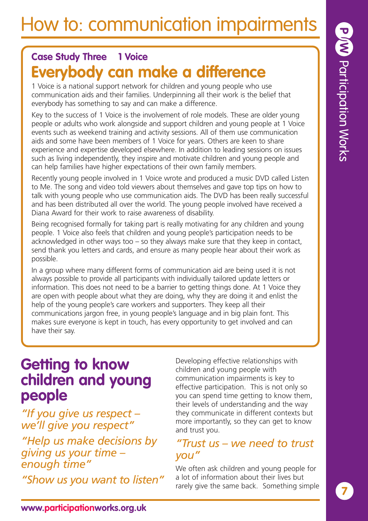### **Case Study Three 1 Voice Everybody can make a difference**

1 Voice is a national support network for children and young people who use communication aids and their families. Underpinning all their work is the belief that everybody has something to say and can make a difference.

Key to the success of 1 Voice is the involvement of role models. These are older young people or adults who work alongside and support children and young people at 1 Voice events such as weekend training and activity sessions. All of them use communication aids and some have been members of 1 Voice for years. Others are keen to share experience and expertise developed elsewhere. In addition to leading sessions on issues such as living independently, they inspire and motivate children and young people and can help families have higher expectations of their own family members.

Recently young people involved in 1 Voice wrote and produced a music DVD called Listen to Me. The song and video told viewers about themselves and gave top tips on how to talk with young people who use communication aids. The DVD has been really successful and has been distributed all over the world. The young people involved have received a Diana Award for their work to raise awareness of disability.

Being recognised formally for taking part is really motivating for any children and young people. 1 Voice also feels that children and young people's participation needs to be acknowledged in other ways too – so they always make sure that they keep in contact, send thank you letters and cards, and ensure as many people hear about their work as possible.

In a group where many different forms of communication aid are being used it is not always possible to provide all participants with individually tailored update letters or information. This does not need to be a barrier to getting things done. At 1 Voice they are open with people about what they are doing, why they are doing it and enlist the help of the young people's care workers and supporters. They keep all their communications jargon free, in young people's language and in big plain font. This makes sure everyone is kept in touch, has every opportunity to get involved and can have their say.

### **Getting to know children and young people**

*"If you give us respect – we'll give you respect"*

*"Help us make decisions by giving us your time – enough time"*

*"Show us you want to listen"*

Developing effective relationships with children and young people with communication impairments is key to effective participation. This is not only so you can spend time getting to know them, their levels of understanding and the way they communicate in different contexts but more importantly, so they can get to know and trust you.

### *"Trust us – we need to trust you"*

We often ask children and young people for a lot of information about their lives but rarely give the same back. Something simple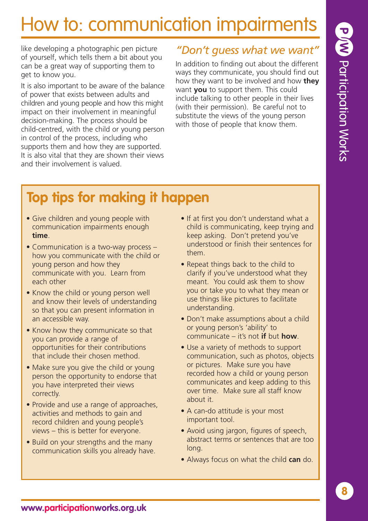like developing a photographic pen picture of yourself, which tells them a bit about you can be a great way of supporting them to get to know you.

It is also important to be aware of the balance of power that exists between adults and children and young people and how this might impact on their involvement in meaningful decision-making. The process should be child-centred, with the child or young person in control of the process, including who supports them and how they are supported. It is also vital that they are shown their views and their involvement is valued.

### *"Don't guess what we want"*

In addition to finding out about the different ways they communicate, you should find out how they want to be involved and how **they** want **you** to support them. This could include talking to other people in their lives (with their permission). Be careful not to substitute the views of the young person with those of people that know them.

### **Top tips for making it happen**

- Give children and young people with communication impairments enough **time**.
- Communication is a two-way process how you communicate with the child or young person and how they communicate with you. Learn from each other
- Know the child or young person well and know their levels of understanding so that you can present information in an accessible way.
- Know how they communicate so that you can provide a range of opportunities for their contributions that include their chosen method.
- Make sure you give the child or young person the opportunity to endorse that you have interpreted their views correctly.
- Provide and use a range of approaches, activities and methods to gain and record children and young people's views – this is better for everyone.
- Build on your strengths and the many communication skills you already have.
- If at first you don't understand what a child is communicating, keep trying and keep asking. Don't pretend you've understood or finish their sentences for them.
- Repeat things back to the child to clarify if you've understood what they meant. You could ask them to show you or take you to what they mean or use things like pictures to facilitate understanding.
- Don't make assumptions about a child or young person's 'ability' to communicate – it's not **if** but **how**.
- Use a variety of methods to support communication, such as photos, objects or pictures. Make sure you have recorded how a child or young person communicates and keep adding to this over time. Make sure all staff know about it.
- A can-do attitude is your most important tool.
- Avoid using jargon, figures of speech, abstract terms or sentences that are too long.
- Always focus on what the child **can** do.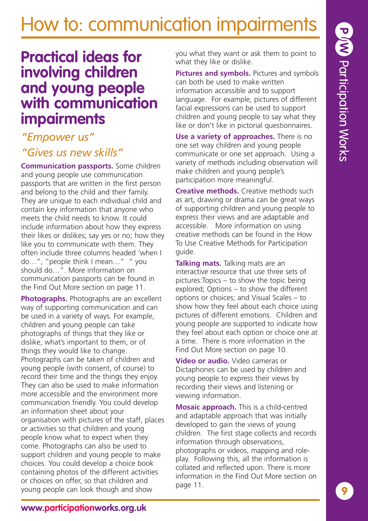### **Practical ideas for involving children and young people with communication impairments**

### *"Empower us" "Gives us new skills"*

**Communication passports.** Some children and young people use communication passports that are written in the first person and belong to the child and their family. They are unique to each individual child and contain key information that anyone who meets the child needs to know. It could include information about how they express their likes or dislikes; say yes or no; how they like you to communicate with them. They often include three columns headed 'when I do…", "people think I mean…" " you should do…". More information on communication passports can be found in the Find Out More section on page 11.

**Photographs.** Photographs are an excellent way of supporting communication and can be used in a variety of ways. For example, children and young people can take photographs of things that they like or dislike, what's important to them, or of things they would like to change. Photographs can be taken of children and young people (with consent, of course) to record their time and the things they enjoy. They can also be used to make information more accessible and the environment more communication friendly. You could develop an information sheet about your organisation with pictures of the staff, places or activities so that children and young people know what to expect when they come. Photographs can also be used to support children and young people to make choices. You could develop a choice book containing photos of the different activities or choices on offer, so that children and young people can look though and show

you what they want or ask them to point to what they like or dislike.

**Pictures and symbols.** Pictures and symbols can both be used to make written information accessible and to support language. For example, pictures of different facial expressions can be used to support children and young people to say what they like or don't like in pictorial questionnaires.

**Use a variety of approaches.** There is no one set way children and young people communicate or one set approach. Using a variety of methods including observation will make children and young people's participation more meaningful.

**Creative methods.** Creative methods such as art, drawing or drama can be great ways of supporting children and young people to express their views and are adaptable and accessible. More information on using creative methods can be found in the How To Use Creative Methods for Participation guide.

**Talking mats.** Talking mats are an interactive resource that use three sets of pictures:Topics – to show the topic being explored; Options – to show the different options or choices; and Visual Scales – to show how they feel about each choice using pictures of different emotions. Children and young people are supported to indicate how they feel about each option or choice one at a time. There is more information in the Find Out More section on page 10.

**Video or audio.** Video cameras or Dictaphones can be used by children and young people to express their views by recording their views and listening or viewing information.

**Mosaic approach.** This is a child-centred and adaptable approach that was initially developed to gain the views of young children. The first stage collects and records information through observations, photographs or videos, mapping and roleplay. Following this, all the information is collated and reflected upon. There is more information in the Find Out More section on page 11.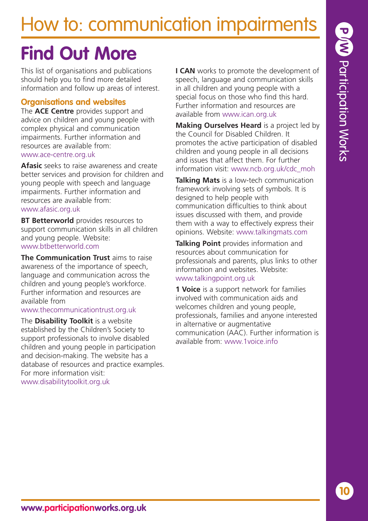### **Find Out More**

This list of organisations and publications should help you to find more detailed information and follow up areas of interest.

#### **Organisations and websites**

The **ACE Centre** provides support and advice on children and young people with complex physical and communication impairments. Further information and resources are available from: www.ace-centre.org.uk

**Afasic** seeks to raise awareness and create better services and provision for children and young people with speech and language impairments. Further information and resources are available from: www.afasic.org.uk

**BT Betterworld** provides resources to support communication skills in all children and young people. Website: www.btbetterworld.com

**The Communication Trust** aims to raise awareness of the importance of speech, language and communication across the children and young people's workforce. Further information and resources are available from

#### www.thecommunicationtrust.org.uk

The **Disability Toolkit** is a website established by the Children's Society to support professionals to involve disabled children and young people in participation and decision-making. The website has a database of resources and practice examples. For more information visit: www.disabilitytoolkit.org.uk

**I CAN** works to promote the development of speech, language and communication skills in all children and young people with a special focus on those who find this hard. Further information and resources are available from www.ican.org.uk

**Making Ourselves Heard** is a project led by the Council for Disabled Children. It promotes the active participation of disabled children and young people in all decisions and issues that affect them. For further information visit: www.ncb.org.uk/cdc\_moh

**Talking Mats** is a low-tech communication framework involving sets of symbols. It is designed to help people with communication difficulties to think about issues discussed with them, and provide them with a way to effectively express their opinions. Website: www.talkingmats.com

**Talking Point** provides information and resources about communication for professionals and parents, plus links to other information and websites. Website: www.talkingpoint.org.uk

**1 Voice** is a support network for families involved with communication aids and welcomes children and young people, professionals, families and anyone interested in alternative or augmentative communication (AAC). Further information is available from: www.1voice.info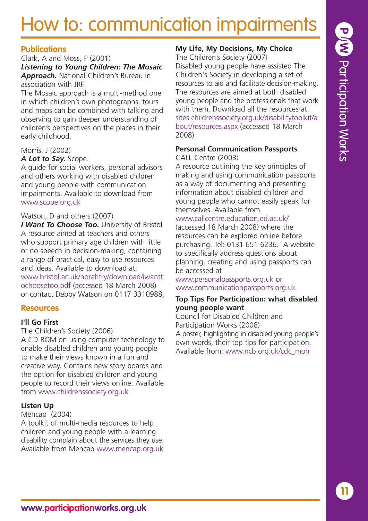## **P/W Participation Works My Life, My Decisions, My Choice** The Children's Society (2007) Disabled young people have assisted The

Children's Society in developing a set of resources to aid and facilitate decision-making. The resources are aimed at both disabled young people and the professionals that work with them. Download all the resources at: sites.childrenssociety.org.uk/disabilitytoolkit/a bout/resources.aspx (accessed 18 March 2008)

#### **Personal Communication Passports** CALL Centre (2003)

A resource outlining the key principles of making and using communication passports as a way of documenting and presenting information about disabled children and young people who cannot easily speak for themselves. Available from

#### www.callcentre.education.ed.ac.uk/

(accessed 18 March 2008) where the resources can be explored online before purchasing. Tel: 0131 651 6236. A website to specifically address questions about planning, creating and using passports can be accessed at

www.personalpassports.org.uk or www.communicationpassports.org.uk

#### **Top Tips For Participation: what disabled young people want**

Council for Disabled Children and Participation Works (2008) A poster, highlighting in disabled young people's own words, their top tips for participation. Available from: www.ncb.org.uk/cdc\_moh

### How to: communication impairments

### **Publications**

Clark, A and Moss, P (2001) *Listening to Young Children: The Mosaic Approach.* National Children's Bureau in association with JRF.

The Mosaic approach is a multi-method one in which children's own photographs, tours and maps can be combined with talking and observing to gain deeper understanding of children's perspectives on the places in their early childhood.

#### Morris, J (2002)

#### *A Lot to Say.* Scope.

A guide for social workers, personal advisors and others working with disabled children and young people with communication impairments. Available to download from www.scope.org.uk

#### Watson, D and others (2007)

*I Want To Choose Too.* University of Bristol A resource aimed at teachers and others who support primary age children with little or no speech in decision-making, containing a range of practical, easy to use resources and ideas. Available to download at: www.bristol.ac.uk/norahfry/download/iwantt ochoosetoo.pdf (accessed 18 March 2008) or contact Debby Watson on 0117 3310988,

### **Resources**

### **I'll Go First**

The Children's Society (2006)

A CD ROM on using computer technology to enable disabled children and young people to make their views known in a fun and creative way. Contains new story boards and the option for disabled children and young people to record their views online. Available from www.childrenssociety.org.uk

### **Listen Up**

### Mencap (2004)

A toolkit of multi-media resources to help children and young people with a learning disability complain about the services they use. Available from Mencap www.mencap.org.uk